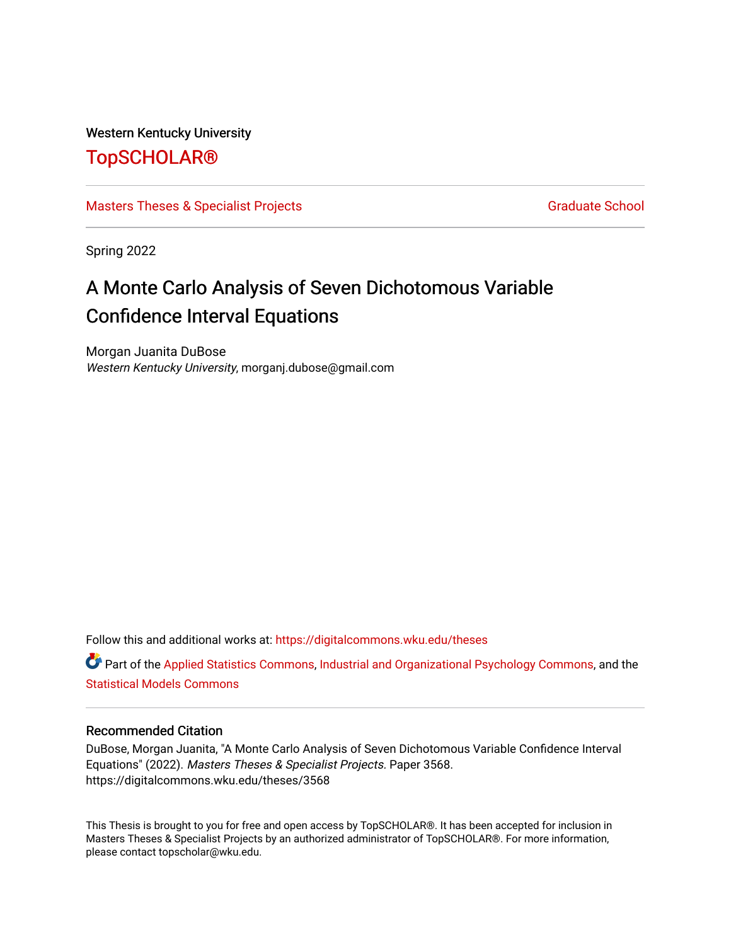### Western Kentucky University

# [TopSCHOLAR®](https://digitalcommons.wku.edu/)

### [Masters Theses & Specialist Projects](https://digitalcommons.wku.edu/theses) [Graduate School](https://digitalcommons.wku.edu/Graduate) Graduate School

Spring 2022

# A Monte Carlo Analysis of Seven Dichotomous Variable Confidence Interval Equations

Morgan Juanita DuBose Western Kentucky University, morganj.dubose@gmail.com

Follow this and additional works at: [https://digitalcommons.wku.edu/theses](https://digitalcommons.wku.edu/theses?utm_source=digitalcommons.wku.edu%2Ftheses%2F3568&utm_medium=PDF&utm_campaign=PDFCoverPages) 

Part of the [Applied Statistics Commons](http://network.bepress.com/hgg/discipline/209?utm_source=digitalcommons.wku.edu%2Ftheses%2F3568&utm_medium=PDF&utm_campaign=PDFCoverPages), [Industrial and Organizational Psychology Commons](http://network.bepress.com/hgg/discipline/412?utm_source=digitalcommons.wku.edu%2Ftheses%2F3568&utm_medium=PDF&utm_campaign=PDFCoverPages), and the [Statistical Models Commons](http://network.bepress.com/hgg/discipline/827?utm_source=digitalcommons.wku.edu%2Ftheses%2F3568&utm_medium=PDF&utm_campaign=PDFCoverPages)

#### Recommended Citation

DuBose, Morgan Juanita, "A Monte Carlo Analysis of Seven Dichotomous Variable Confidence Interval Equations" (2022). Masters Theses & Specialist Projects. Paper 3568. https://digitalcommons.wku.edu/theses/3568

This Thesis is brought to you for free and open access by TopSCHOLAR®. It has been accepted for inclusion in Masters Theses & Specialist Projects by an authorized administrator of TopSCHOLAR®. For more information, please contact topscholar@wku.edu.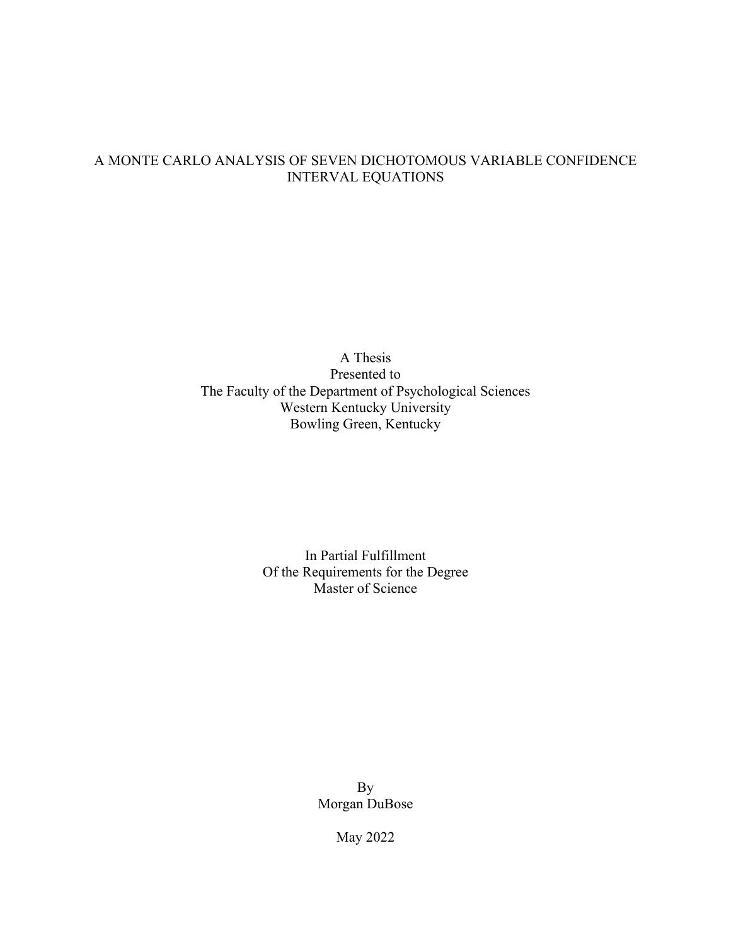# A MONTE CARLO ANALYSIS OF SEVEN DICHOTOMOUS VARIABLE CONFIDENCE INTERVAL EQUATIONS

A Thesis Presented to The Faculty of the Department of Psychological Sciences Western Kentucky University Bowling Green, Kentucky

> In Partial Fulfillment Of the Requirements for the Degree Master of Science

> > By Morgan DuBose

> > > May 2022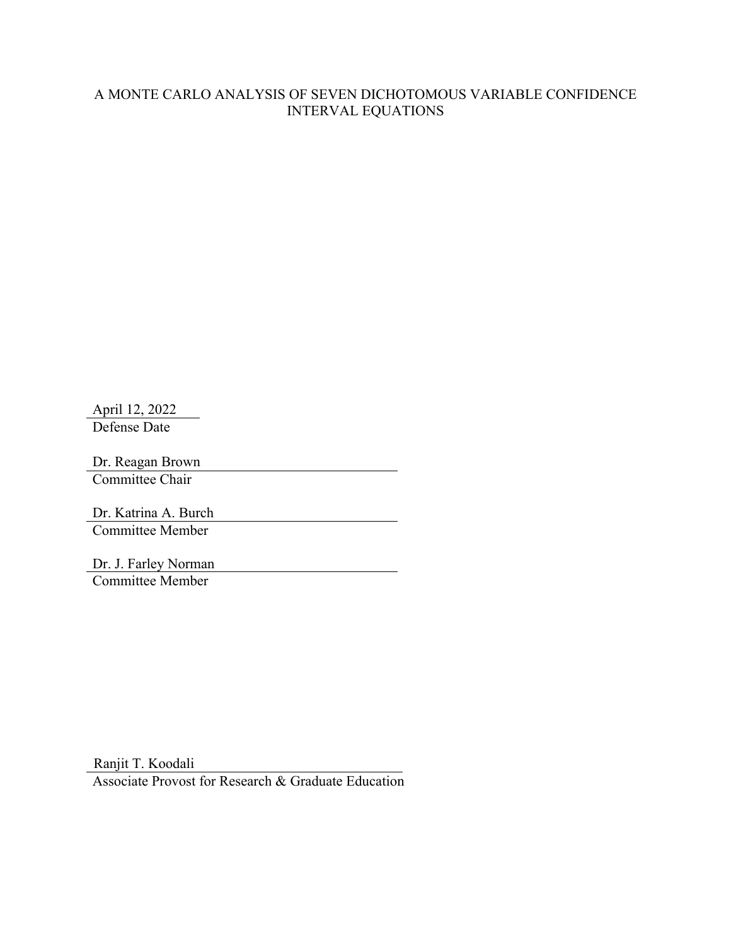## A MONTE CARLO ANALYSIS OF SEVEN DICHOTOMOUS VARIABLE CONFIDENCE INTERVAL EQUATIONS

April 12, 2022 Defense Date

Dr. Reagan Brown Committee Chair

Dr. Katrina A. Burch Committee Member

Dr. J. Farley Norman Committee Member

Ranjit T. Koodali

Associate Provost for Research & Graduate Education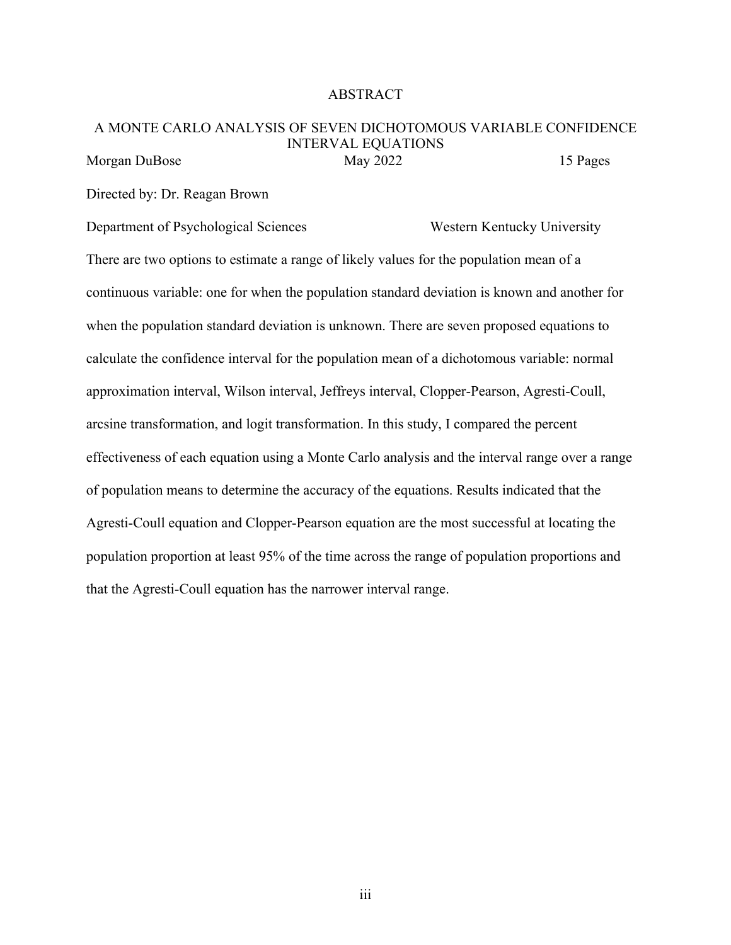#### ABSTRACT

#### A MONTE CARLO ANALYSIS OF SEVEN DICHOTOMOUS VARIABLE CONFIDENCE INTERVAL EQUATIONS Morgan DuBose May 2022 15 Pages

Directed by: Dr. Reagan Brown

Department of Psychological Sciences Western Kentucky University

There are two options to estimate a range of likely values for the population mean of a continuous variable: one for when the population standard deviation is known and another for when the population standard deviation is unknown. There are seven proposed equations to calculate the confidence interval for the population mean of a dichotomous variable: normal approximation interval, Wilson interval, Jeffreys interval, Clopper-Pearson, Agresti-Coull, arcsine transformation, and logit transformation. In this study, I compared the percent effectiveness of each equation using a Monte Carlo analysis and the interval range over a range of population means to determine the accuracy of the equations. Results indicated that the Agresti-Coull equation and Clopper-Pearson equation are the most successful at locating the population proportion at least 95% of the time across the range of population proportions and that the Agresti-Coull equation has the narrower interval range.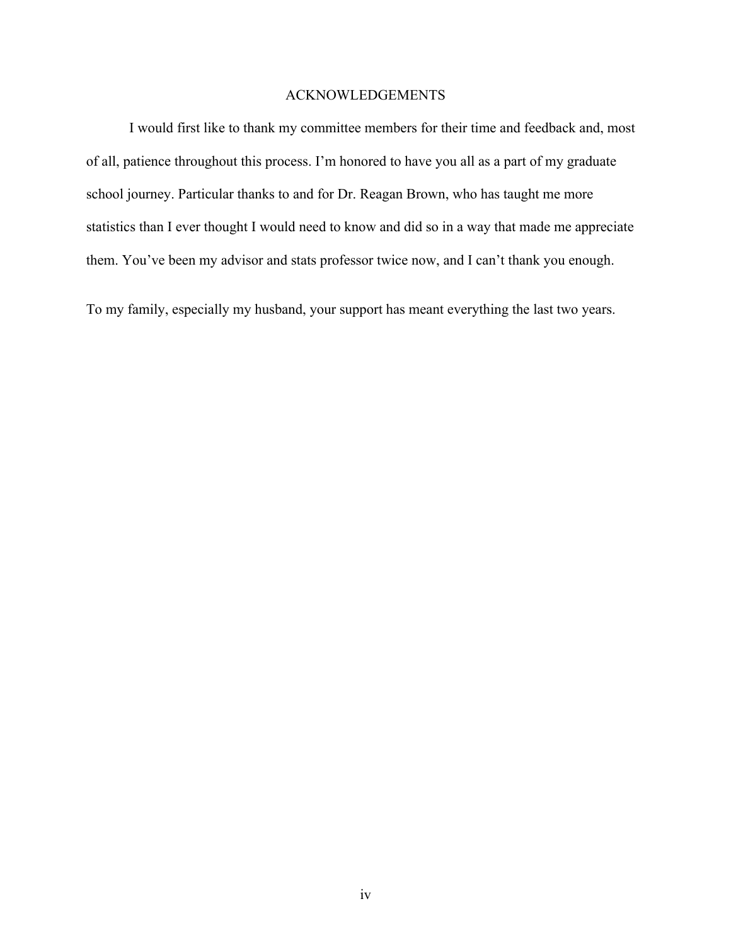#### ACKNOWLEDGEMENTS

I would first like to thank my committee members for their time and feedback and, most of all, patience throughout this process. I'm honored to have you all as a part of my graduate school journey. Particular thanks to and for Dr. Reagan Brown, who has taught me more statistics than I ever thought I would need to know and did so in a way that made me appreciate them. You've been my advisor and stats professor twice now, and I can't thank you enough.

To my family, especially my husband, your support has meant everything the last two years.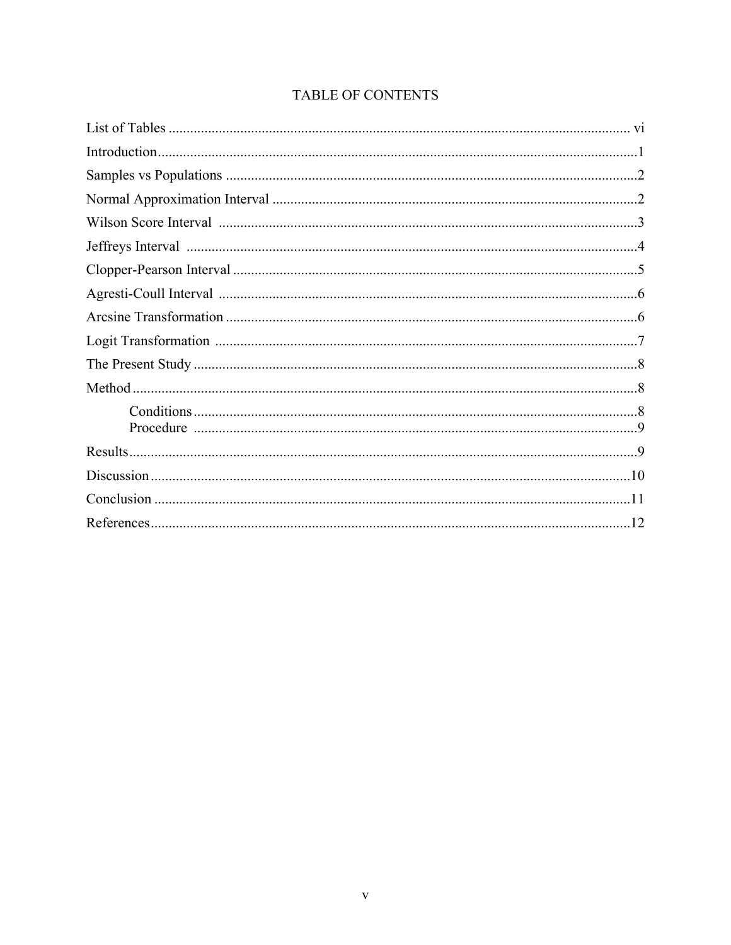# TABLE OF CONTENTS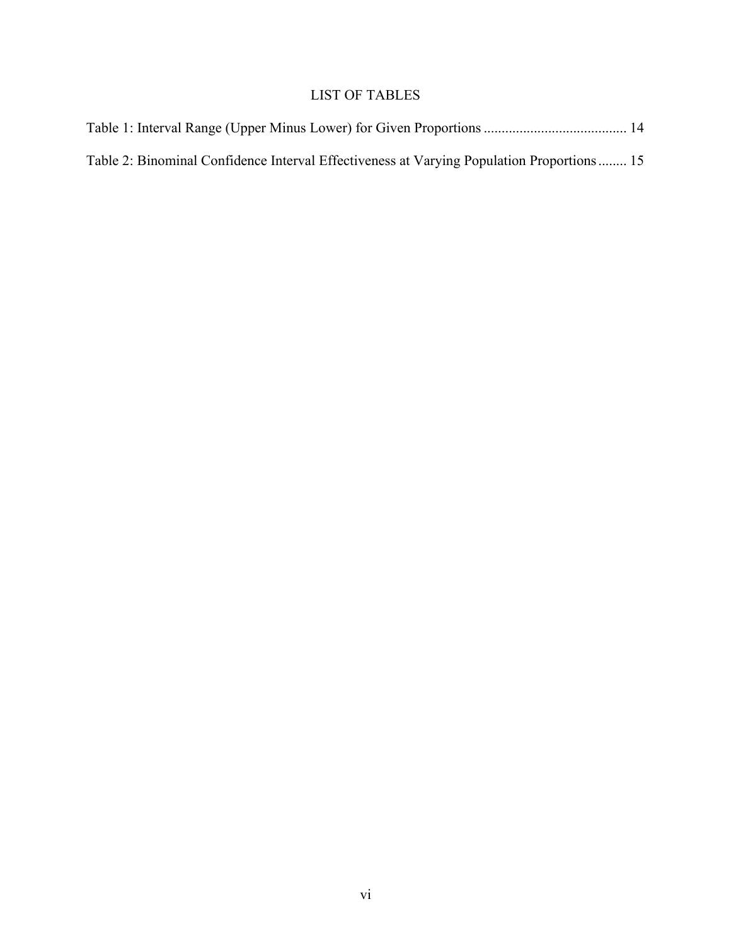# LIST OF TABLES

| Table 2: Binominal Confidence Interval Effectiveness at Varying Population Proportions 15 |  |
|-------------------------------------------------------------------------------------------|--|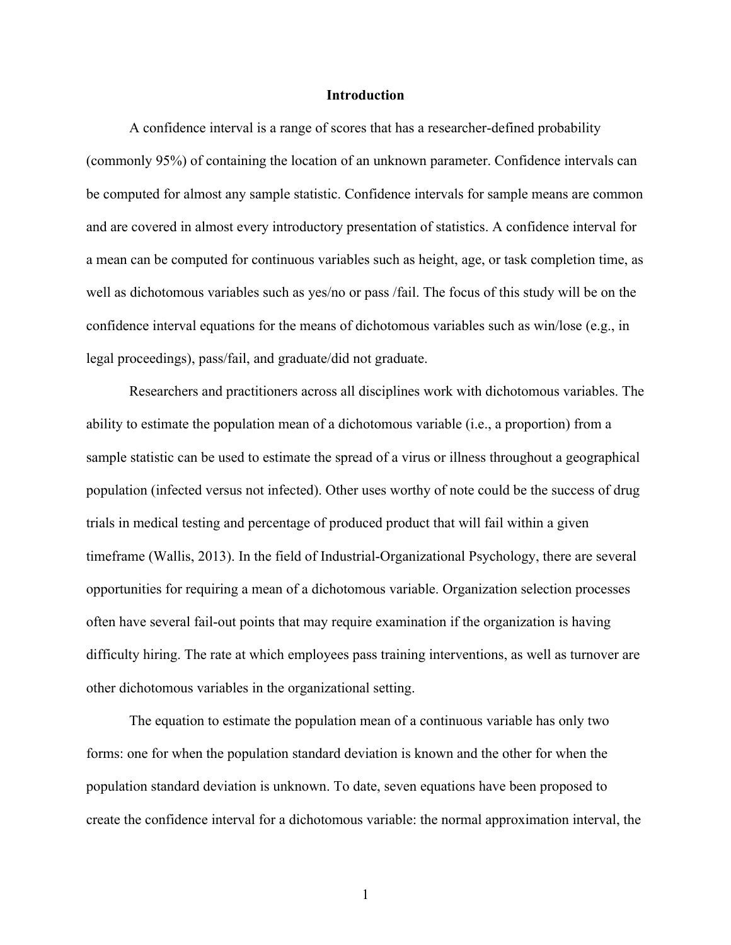#### **Introduction**

A confidence interval is a range of scores that has a researcher-defined probability (commonly 95%) of containing the location of an unknown parameter. Confidence intervals can be computed for almost any sample statistic. Confidence intervals for sample means are common and are covered in almost every introductory presentation of statistics. A confidence interval for a mean can be computed for continuous variables such as height, age, or task completion time, as well as dichotomous variables such as yes/no or pass /fail. The focus of this study will be on the confidence interval equations for the means of dichotomous variables such as win/lose (e.g., in legal proceedings), pass/fail, and graduate/did not graduate.

Researchers and practitioners across all disciplines work with dichotomous variables. The ability to estimate the population mean of a dichotomous variable (i.e., a proportion) from a sample statistic can be used to estimate the spread of a virus or illness throughout a geographical population (infected versus not infected). Other uses worthy of note could be the success of drug trials in medical testing and percentage of produced product that will fail within a given timeframe (Wallis, 2013). In the field of Industrial-Organizational Psychology, there are several opportunities for requiring a mean of a dichotomous variable. Organization selection processes often have several fail-out points that may require examination if the organization is having difficulty hiring. The rate at which employees pass training interventions, as well as turnover are other dichotomous variables in the organizational setting.

The equation to estimate the population mean of a continuous variable has only two forms: one for when the population standard deviation is known and the other for when the population standard deviation is unknown. To date, seven equations have been proposed to create the confidence interval for a dichotomous variable: the normal approximation interval, the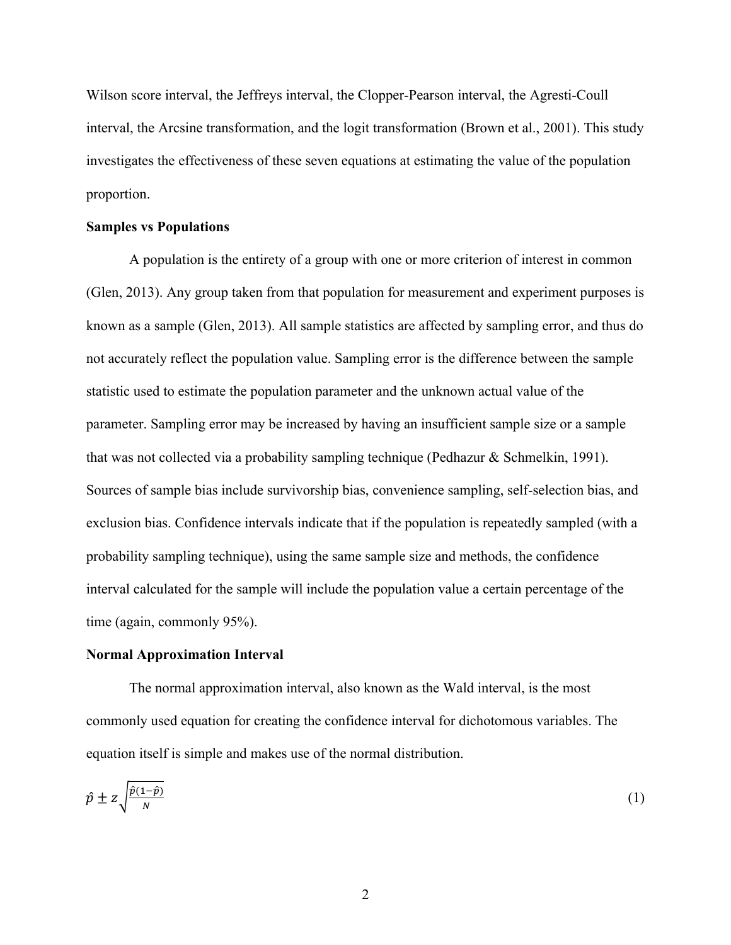Wilson score interval, the Jeffreys interval, the Clopper-Pearson interval, the Agresti-Coull interval, the Arcsine transformation, and the logit transformation (Brown et al., 2001). This study investigates the effectiveness of these seven equations at estimating the value of the population proportion.

#### **Samples vs Populations**

A population is the entirety of a group with one or more criterion of interest in common (Glen, 2013). Any group taken from that population for measurement and experiment purposes is known as a sample (Glen, 2013). All sample statistics are affected by sampling error, and thus do not accurately reflect the population value. Sampling error is the difference between the sample statistic used to estimate the population parameter and the unknown actual value of the parameter. Sampling error may be increased by having an insufficient sample size or a sample that was not collected via a probability sampling technique (Pedhazur & Schmelkin, 1991). Sources of sample bias include survivorship bias, convenience sampling, self-selection bias, and exclusion bias. Confidence intervals indicate that if the population is repeatedly sampled (with a probability sampling technique), using the same sample size and methods, the confidence interval calculated for the sample will include the population value a certain percentage of the time (again, commonly 95%).

#### **Normal Approximation Interval**

The normal approximation interval, also known as the Wald interval, is the most commonly used equation for creating the confidence interval for dichotomous variables. The equation itself is simple and makes use of the normal distribution.

$$
\hat{p} \pm z \sqrt{\frac{\hat{p}(1-\hat{p})}{N}} \tag{1}
$$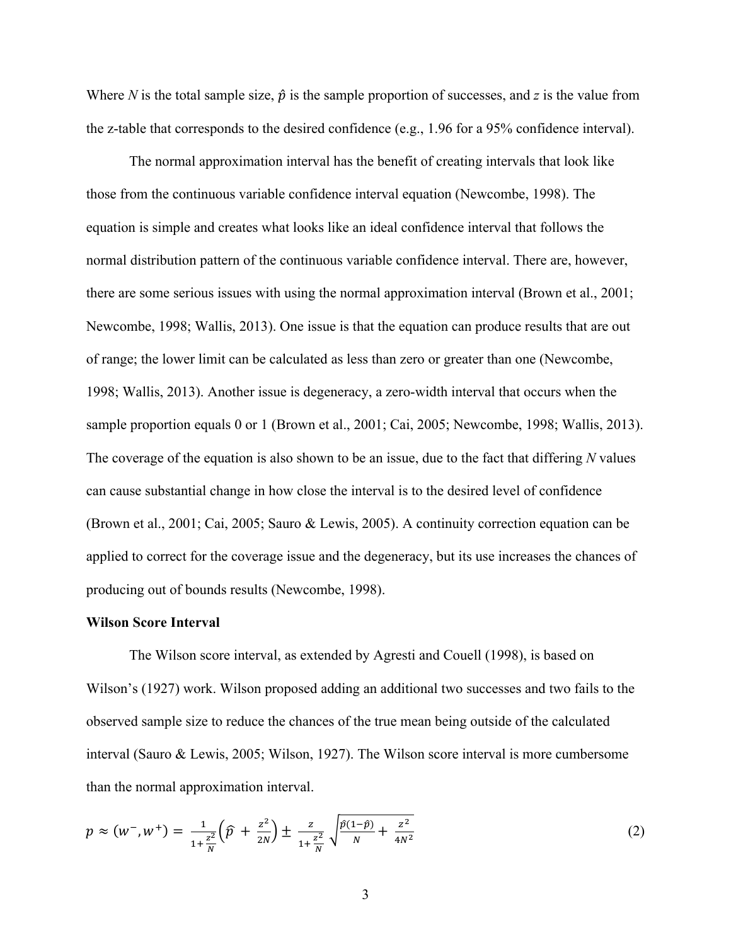Where *N* is the total sample size,  $\hat{p}$  is the sample proportion of successes, and *z* is the value from the z-table that corresponds to the desired confidence (e.g., 1.96 for a 95% confidence interval).

The normal approximation interval has the benefit of creating intervals that look like those from the continuous variable confidence interval equation (Newcombe, 1998). The equation is simple and creates what looks like an ideal confidence interval that follows the normal distribution pattern of the continuous variable confidence interval. There are, however, there are some serious issues with using the normal approximation interval (Brown et al., 2001; Newcombe, 1998; Wallis, 2013). One issue is that the equation can produce results that are out of range; the lower limit can be calculated as less than zero or greater than one (Newcombe, 1998; Wallis, 2013). Another issue is degeneracy, a zero-width interval that occurs when the sample proportion equals 0 or 1 (Brown et al., 2001; Cai, 2005; Newcombe, 1998; Wallis, 2013). The coverage of the equation is also shown to be an issue, due to the fact that differing *N* values can cause substantial change in how close the interval is to the desired level of confidence (Brown et al., 2001; Cai, 2005; Sauro & Lewis, 2005). A continuity correction equation can be applied to correct for the coverage issue and the degeneracy, but its use increases the chances of producing out of bounds results (Newcombe, 1998).

#### **Wilson Score Interval**

The Wilson score interval, as extended by Agresti and Couell (1998), is based on Wilson's (1927) work. Wilson proposed adding an additional two successes and two fails to the observed sample size to reduce the chances of the true mean being outside of the calculated interval (Sauro & Lewis, 2005; Wilson, 1927). The Wilson score interval is more cumbersome than the normal approximation interval.

$$
p \approx (w^-, w^+) = \frac{1}{1 + \frac{z^2}{N}} \left(\hat{p} + \frac{z^2}{2N}\right) \pm \frac{z}{1 + \frac{z^2}{N}} \sqrt{\frac{\hat{p}(1-\hat{p})}{N} + \frac{z^2}{4N^2}}
$$
(2)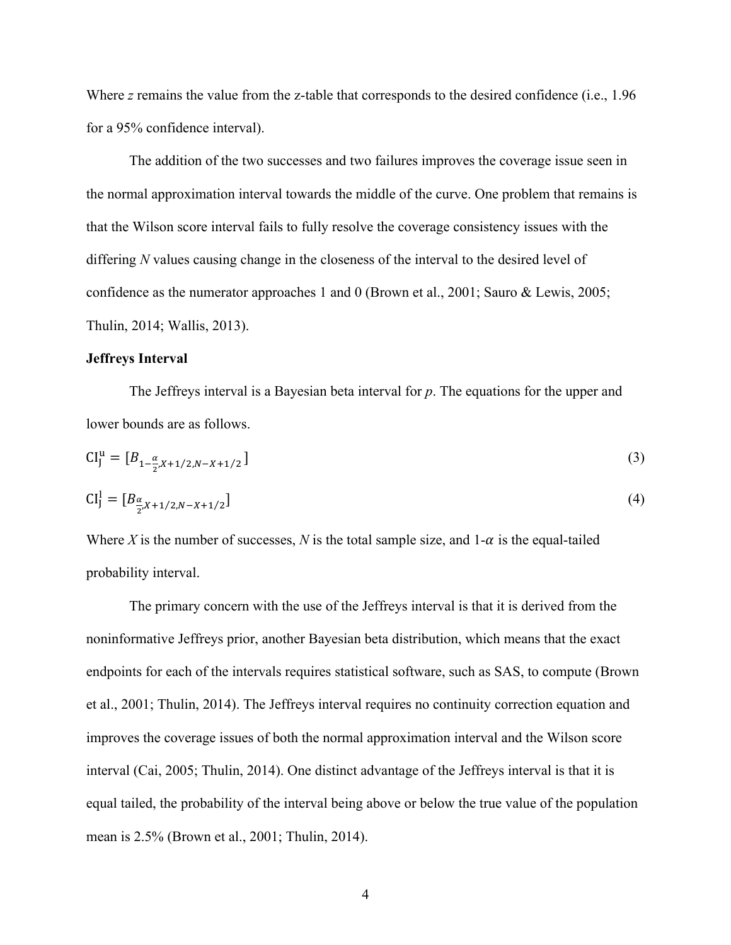Where *z* remains the value from the *z*-table that corresponds to the desired confidence (i.e., 1.96) for a 95% confidence interval).

The addition of the two successes and two failures improves the coverage issue seen in the normal approximation interval towards the middle of the curve. One problem that remains is that the Wilson score interval fails to fully resolve the coverage consistency issues with the differing *N* values causing change in the closeness of the interval to the desired level of confidence as the numerator approaches 1 and 0 (Brown et al., 2001; Sauro & Lewis, 2005; Thulin, 2014; Wallis, 2013).

#### **Jeffreys Interval**

The Jeffreys interval is a Bayesian beta interval for *p*. The equations for the upper and lower bounds are as follows.

$$
CI_J^u = [B_{1 - \frac{\alpha}{2}, X + 1/2, N - X + 1/2}]
$$
\n(3)

$$
CI_J^1 = [B_{\frac{\alpha}{2}, X+1/2, N-X+1/2}] \tag{4}
$$

Where X is the number of successes, N is the total sample size, and  $1-\alpha$  is the equal-tailed probability interval.

The primary concern with the use of the Jeffreys interval is that it is derived from the noninformative Jeffreys prior, another Bayesian beta distribution, which means that the exact endpoints for each of the intervals requires statistical software, such as SAS, to compute (Brown et al., 2001; Thulin, 2014). The Jeffreys interval requires no continuity correction equation and improves the coverage issues of both the normal approximation interval and the Wilson score interval (Cai, 2005; Thulin, 2014). One distinct advantage of the Jeffreys interval is that it is equal tailed, the probability of the interval being above or below the true value of the population mean is 2.5% (Brown et al., 2001; Thulin, 2014).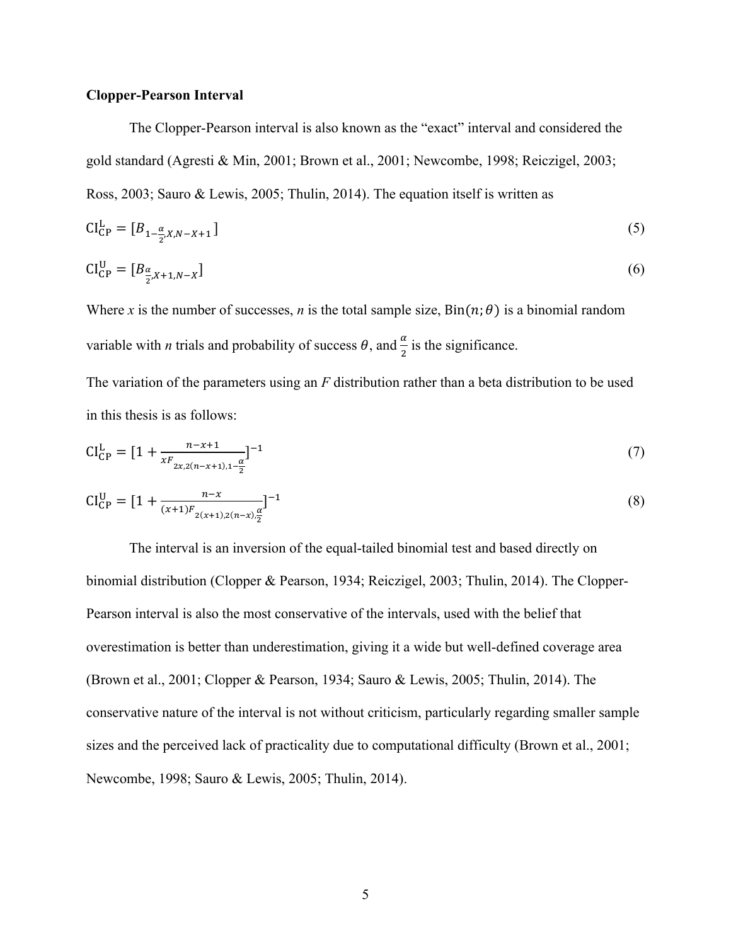#### **Clopper-Pearson Interval**

The Clopper-Pearson interval is also known as the "exact" interval and considered the gold standard (Agresti & Min, 2001; Brown et al., 2001; Newcombe, 1998; Reiczigel, 2003; Ross, 2003; Sauro & Lewis, 2005; Thulin, 2014). The equation itself is written as

$$
CI_{CP}^{L} = [B_{1-\frac{\alpha}{2},X,N-X+1}]
$$
\n
$$
(5)
$$

$$
CI_{CP}^{U} = [B_{\frac{\alpha}{2}, X+1, N-X}]
$$
\n<sup>(6)</sup>

Where *x* is the number of successes, *n* is the total sample size,  $Bin(n; \theta)$  is a binomial random variable with *n* trials and probability of success  $\theta$ , and  $\frac{\alpha}{2}$  is the significance.

The variation of the parameters using an *F* distribution rather than a beta distribution to be used in this thesis is as follows:

$$
CI_{CP}^{L} = [1 + \frac{n - x + 1}{xF_{2x,2(n - x + 1),1} - \frac{\alpha}{2}}]^{-1}
$$
\n(7)

$$
CI_{CP}^{U} = [1 + \frac{n - x}{(x + 1)F_{2(x + 1),2(n - x)}\frac{\alpha}{2}}]^{-1}
$$
\n(8)

The interval is an inversion of the equal-tailed binomial test and based directly on binomial distribution (Clopper & Pearson, 1934; Reiczigel, 2003; Thulin, 2014). The Clopper-Pearson interval is also the most conservative of the intervals, used with the belief that overestimation is better than underestimation, giving it a wide but well-defined coverage area (Brown et al., 2001; Clopper & Pearson, 1934; Sauro & Lewis, 2005; Thulin, 2014). The conservative nature of the interval is not without criticism, particularly regarding smaller sample sizes and the perceived lack of practicality due to computational difficulty (Brown et al., 2001; Newcombe, 1998; Sauro & Lewis, 2005; Thulin, 2014).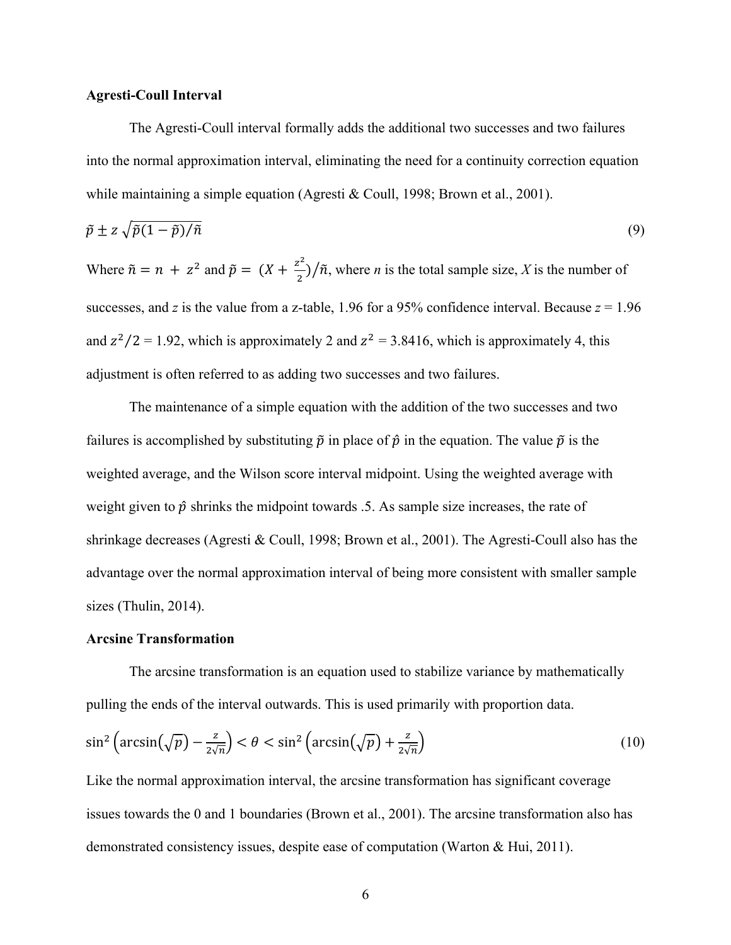#### **Agresti-Coull Interval**

The Agresti-Coull interval formally adds the additional two successes and two failures into the normal approximation interval, eliminating the need for a continuity correction equation while maintaining a simple equation (Agresti & Coull, 1998; Brown et al., 2001).

$$
\tilde{p} \pm z \sqrt{\tilde{p}(1-\tilde{p})/\tilde{n}} \tag{9}
$$

Where  $\tilde{n} = n + z^2$  and  $\tilde{p} = (X + \frac{z^2}{2})/\tilde{n}$ , where *n* is the total sample size, *X* is the number of successes, and *z* is the value from a z-table, 1.96 for a 95% confidence interval. Because  $z = 1.96$ and  $z^2/2 = 1.92$ , which is approximately 2 and  $z^2 = 3.8416$ , which is approximately 4, this adjustment is often referred to as adding two successes and two failures.

The maintenance of a simple equation with the addition of the two successes and two failures is accomplished by substituting  $\tilde{p}$  in place of  $\hat{p}$  in the equation. The value  $\tilde{p}$  is the weighted average, and the Wilson score interval midpoint. Using the weighted average with weight given to  $\hat{p}$  shrinks the midpoint towards .5. As sample size increases, the rate of shrinkage decreases (Agresti & Coull, 1998; Brown et al., 2001). The Agresti-Coull also has the advantage over the normal approximation interval of being more consistent with smaller sample sizes (Thulin, 2014).

#### **Arcsine Transformation**

The arcsine transformation is an equation used to stabilize variance by mathematically pulling the ends of the interval outwards. This is used primarily with proportion data.

$$
\sin^2\left(\arcsin\left(\sqrt{p}\right) - \frac{z}{2\sqrt{n}}\right) < \theta < \sin^2\left(\arcsin\left(\sqrt{p}\right) + \frac{z}{2\sqrt{n}}\right) \tag{10}
$$

Like the normal approximation interval, the arcsine transformation has significant coverage issues towards the 0 and 1 boundaries (Brown et al., 2001). The arcsine transformation also has demonstrated consistency issues, despite ease of computation (Warton & Hui, 2011).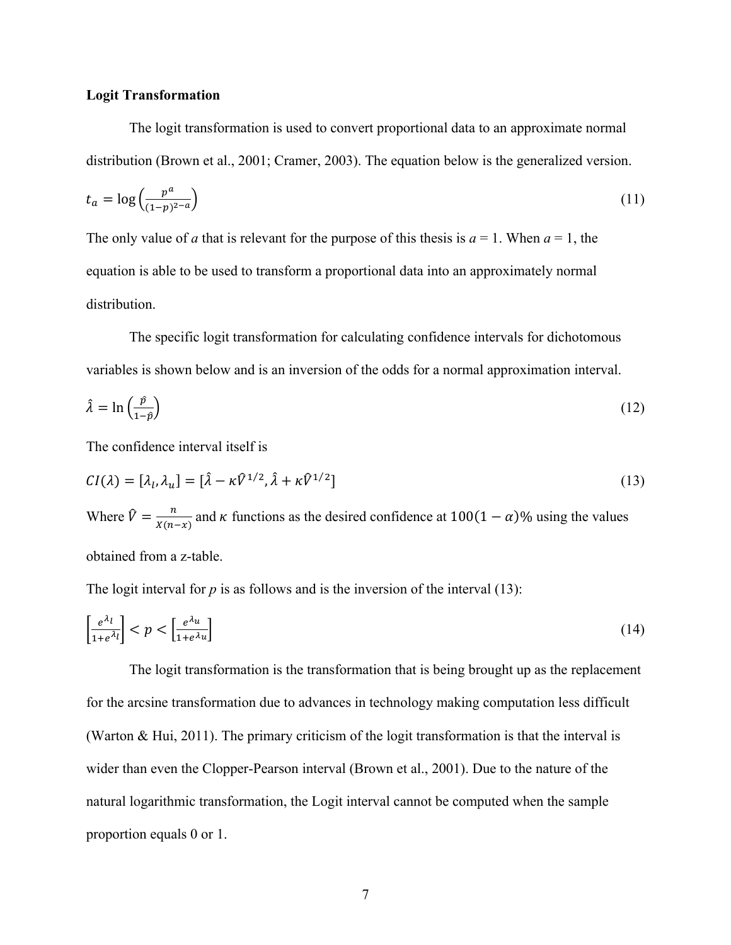#### **Logit Transformation**

The logit transformation is used to convert proportional data to an approximate normal distribution (Brown et al., 2001; Cramer, 2003). The equation below is the generalized version.

$$
t_a = \log\left(\frac{p^a}{(1-p)^{2-a}}\right) \tag{11}
$$

The only value of *a* that is relevant for the purpose of this thesis is  $a = 1$ . When  $a = 1$ , the equation is able to be used to transform a proportional data into an approximately normal distribution.

The specific logit transformation for calculating confidence intervals for dichotomous variables is shown below and is an inversion of the odds for a normal approximation interval.

$$
\hat{\lambda} = \ln\left(\frac{\hat{p}}{1-\hat{p}}\right) \tag{12}
$$

The confidence interval itself is

$$
CI(\lambda) = [\lambda_l, \lambda_u] = [\hat{\lambda} - \kappa \hat{V}^{1/2}, \hat{\lambda} + \kappa \hat{V}^{1/2}]
$$
\n(13)

Where  $\hat{V} = \frac{n}{X(n-x)}$  and  $\kappa$  functions as the desired confidence at 100(1 –  $\alpha$ )% using the values obtained from a z-table.

The logit interval for  $p$  is as follows and is the inversion of the interval  $(13)$ :

$$
\left[\frac{e^{\lambda_l}}{1+e^{\lambda_l}}\right] < p < \left[\frac{e^{\lambda_u}}{1+e^{\lambda_u}}\right] \tag{14}
$$

The logit transformation is the transformation that is being brought up as the replacement for the arcsine transformation due to advances in technology making computation less difficult (Warton & Hui, 2011). The primary criticism of the logit transformation is that the interval is wider than even the Clopper-Pearson interval (Brown et al., 2001). Due to the nature of the natural logarithmic transformation, the Logit interval cannot be computed when the sample proportion equals 0 or 1.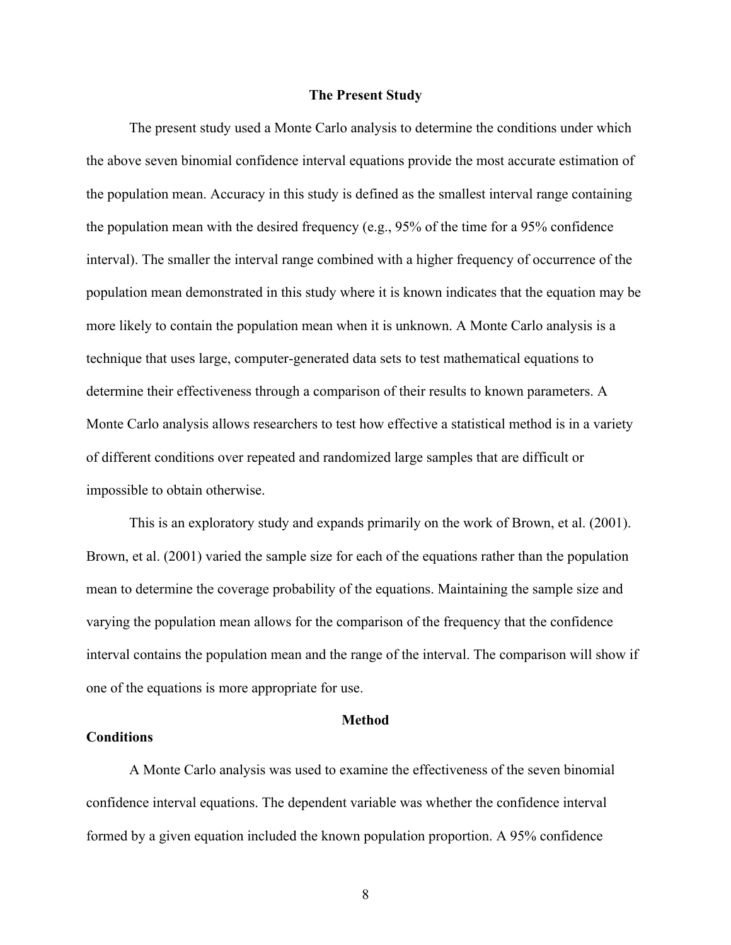#### **The Present Study**

The present study used a Monte Carlo analysis to determine the conditions under which the above seven binomial confidence interval equations provide the most accurate estimation of the population mean. Accuracy in this study is defined as the smallest interval range containing the population mean with the desired frequency (e.g., 95% of the time for a 95% confidence interval). The smaller the interval range combined with a higher frequency of occurrence of the population mean demonstrated in this study where it is known indicates that the equation may be more likely to contain the population mean when it is unknown. A Monte Carlo analysis is a technique that uses large, computer-generated data sets to test mathematical equations to determine their effectiveness through a comparison of their results to known parameters. A Monte Carlo analysis allows researchers to test how effective a statistical method is in a variety of different conditions over repeated and randomized large samples that are difficult or impossible to obtain otherwise.

This is an exploratory study and expands primarily on the work of Brown, et al. (2001). Brown, et al. (2001) varied the sample size for each of the equations rather than the population mean to determine the coverage probability of the equations. Maintaining the sample size and varying the population mean allows for the comparison of the frequency that the confidence interval contains the population mean and the range of the interval. The comparison will show if one of the equations is more appropriate for use.

#### **Method**

#### **Conditions**

A Monte Carlo analysis was used to examine the effectiveness of the seven binomial confidence interval equations. The dependent variable was whether the confidence interval formed by a given equation included the known population proportion. A 95% confidence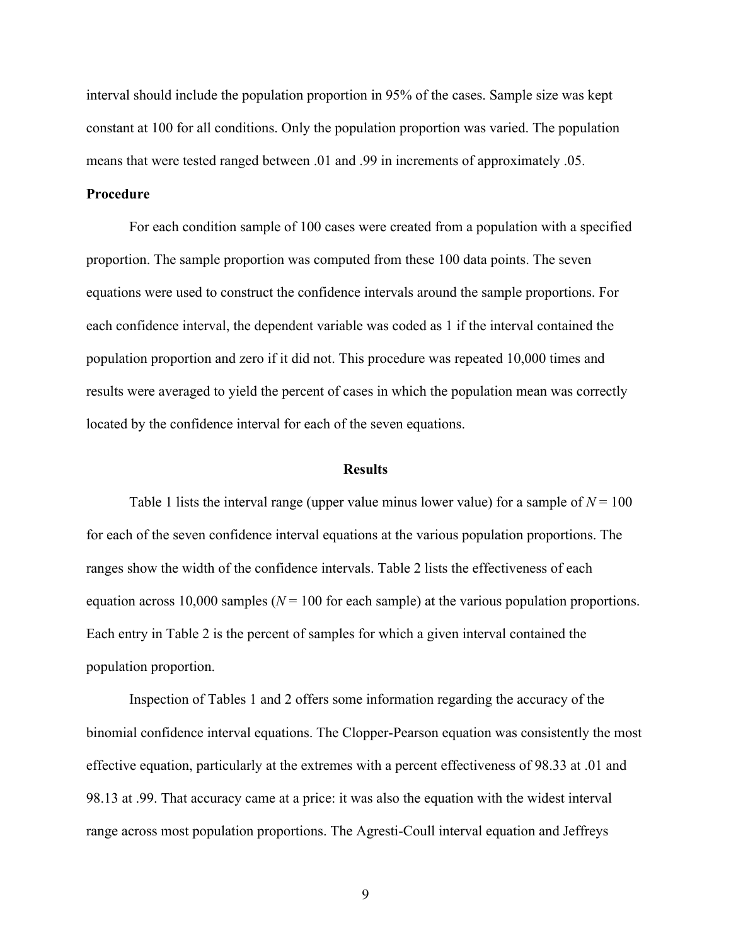interval should include the population proportion in 95% of the cases. Sample size was kept constant at 100 for all conditions. Only the population proportion was varied. The population means that were tested ranged between .01 and .99 in increments of approximately .05.

#### **Procedure**

For each condition sample of 100 cases were created from a population with a specified proportion. The sample proportion was computed from these 100 data points. The seven equations were used to construct the confidence intervals around the sample proportions. For each confidence interval, the dependent variable was coded as 1 if the interval contained the population proportion and zero if it did not. This procedure was repeated 10,000 times and results were averaged to yield the percent of cases in which the population mean was correctly located by the confidence interval for each of the seven equations.

#### **Results**

Table 1 lists the interval range (upper value minus lower value) for a sample of  $N = 100$ for each of the seven confidence interval equations at the various population proportions. The ranges show the width of the confidence intervals. Table 2 lists the effectiveness of each equation across 10,000 samples ( $N = 100$  for each sample) at the various population proportions. Each entry in Table 2 is the percent of samples for which a given interval contained the population proportion.

Inspection of Tables 1 and 2 offers some information regarding the accuracy of the binomial confidence interval equations. The Clopper-Pearson equation was consistently the most effective equation, particularly at the extremes with a percent effectiveness of 98.33 at .01 and 98.13 at .99. That accuracy came at a price: it was also the equation with the widest interval range across most population proportions. The Agresti-Coull interval equation and Jeffreys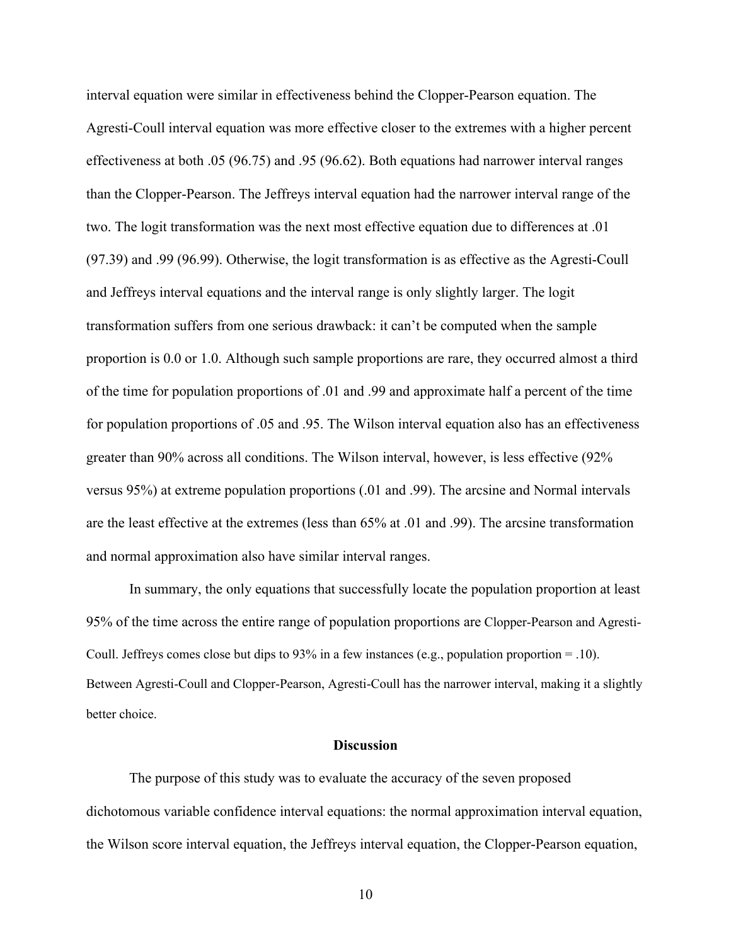interval equation were similar in effectiveness behind the Clopper-Pearson equation. The Agresti-Coull interval equation was more effective closer to the extremes with a higher percent effectiveness at both .05 (96.75) and .95 (96.62). Both equations had narrower interval ranges than the Clopper-Pearson. The Jeffreys interval equation had the narrower interval range of the two. The logit transformation was the next most effective equation due to differences at .01 (97.39) and .99 (96.99). Otherwise, the logit transformation is as effective as the Agresti-Coull and Jeffreys interval equations and the interval range is only slightly larger. The logit transformation suffers from one serious drawback: it can't be computed when the sample proportion is 0.0 or 1.0. Although such sample proportions are rare, they occurred almost a third of the time for population proportions of .01 and .99 and approximate half a percent of the time for population proportions of .05 and .95. The Wilson interval equation also has an effectiveness greater than 90% across all conditions. The Wilson interval, however, is less effective (92% versus 95%) at extreme population proportions (.01 and .99). The arcsine and Normal intervals are the least effective at the extremes (less than 65% at .01 and .99). The arcsine transformation and normal approximation also have similar interval ranges.

In summary, the only equations that successfully locate the population proportion at least 95% of the time across the entire range of population proportions are Clopper-Pearson and Agresti-Coull. Jeffreys comes close but dips to 93% in a few instances (e.g., population proportion = .10). Between Agresti-Coull and Clopper-Pearson, Agresti-Coull has the narrower interval, making it a slightly better choice.

#### **Discussion**

The purpose of this study was to evaluate the accuracy of the seven proposed dichotomous variable confidence interval equations: the normal approximation interval equation, the Wilson score interval equation, the Jeffreys interval equation, the Clopper-Pearson equation,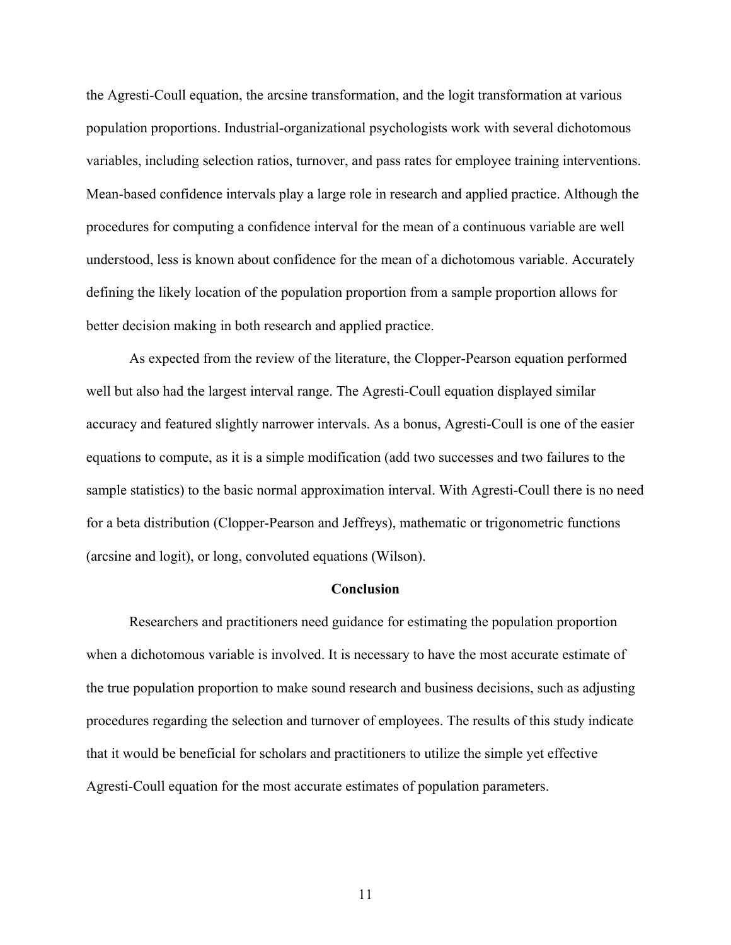the Agresti-Coull equation, the arcsine transformation, and the logit transformation at various population proportions. Industrial-organizational psychologists work with several dichotomous variables, including selection ratios, turnover, and pass rates for employee training interventions. Mean-based confidence intervals play a large role in research and applied practice. Although the procedures for computing a confidence interval for the mean of a continuous variable are well understood, less is known about confidence for the mean of a dichotomous variable. Accurately defining the likely location of the population proportion from a sample proportion allows for better decision making in both research and applied practice.

As expected from the review of the literature, the Clopper-Pearson equation performed well but also had the largest interval range. The Agresti-Coull equation displayed similar accuracy and featured slightly narrower intervals. As a bonus, Agresti-Coull is one of the easier equations to compute, as it is a simple modification (add two successes and two failures to the sample statistics) to the basic normal approximation interval. With Agresti-Coull there is no need for a beta distribution (Clopper-Pearson and Jeffreys), mathematic or trigonometric functions (arcsine and logit), or long, convoluted equations (Wilson).

#### **Conclusion**

Researchers and practitioners need guidance for estimating the population proportion when a dichotomous variable is involved. It is necessary to have the most accurate estimate of the true population proportion to make sound research and business decisions, such as adjusting procedures regarding the selection and turnover of employees. The results of this study indicate that it would be beneficial for scholars and practitioners to utilize the simple yet effective Agresti-Coull equation for the most accurate estimates of population parameters.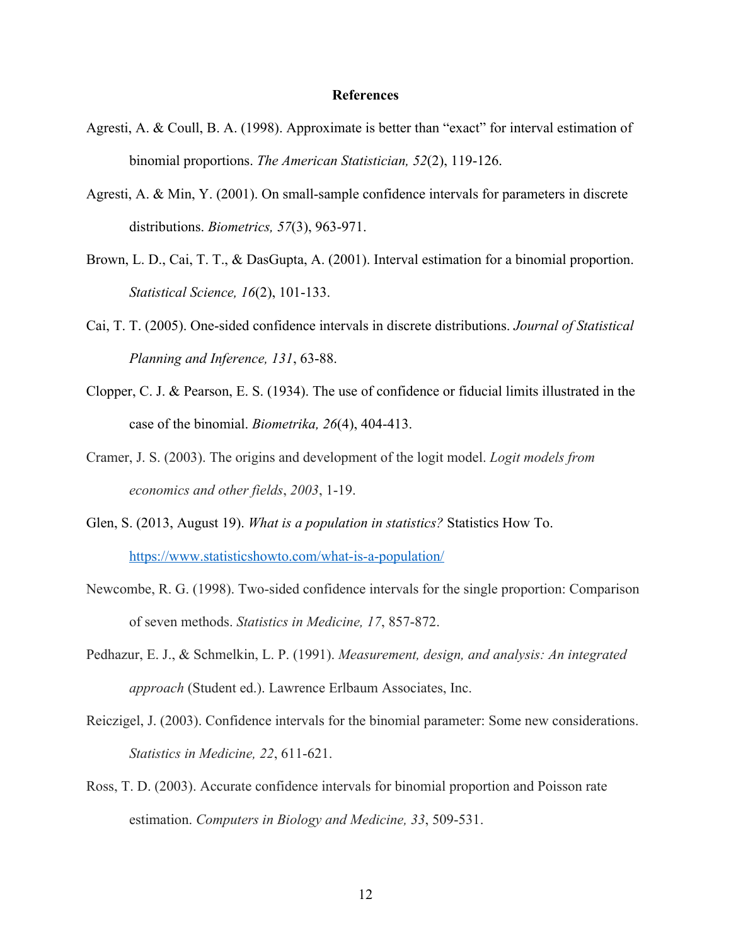#### **References**

- Agresti, A. & Coull, B. A. (1998). Approximate is better than "exact" for interval estimation of binomial proportions. *The American Statistician, 52*(2), 119-126.
- Agresti, A. & Min, Y. (2001). On small-sample confidence intervals for parameters in discrete distributions. *Biometrics, 57*(3), 963-971.
- Brown, L. D., Cai, T. T., & DasGupta, A. (2001). Interval estimation for a binomial proportion. *Statistical Science, 16*(2), 101-133.
- Cai, T. T. (2005). One-sided confidence intervals in discrete distributions. *Journal of Statistical Planning and Inference, 131*, 63-88.
- Clopper, C. J. & Pearson, E. S. (1934). The use of confidence or fiducial limits illustrated in the case of the binomial. *Biometrika, 26*(4), 404-413.
- Cramer, J. S. (2003). The origins and development of the logit model. *Logit models from economics and other fields*, *2003*, 1-19.
- Glen, S. (2013, August 19). *What is a population in statistics?* Statistics How To. https://www.statisticshowto.com/what-is-a-population/
- Newcombe, R. G. (1998). Two-sided confidence intervals for the single proportion: Comparison of seven methods. *Statistics in Medicine, 17*, 857-872.
- Pedhazur, E. J., & Schmelkin, L. P. (1991). *Measurement, design, and analysis: An integrated approach* (Student ed.). Lawrence Erlbaum Associates, Inc.
- Reiczigel, J. (2003). Confidence intervals for the binomial parameter: Some new considerations. *Statistics in Medicine, 22*, 611-621.
- Ross, T. D. (2003). Accurate confidence intervals for binomial proportion and Poisson rate estimation. *Computers in Biology and Medicine, 33*, 509-531.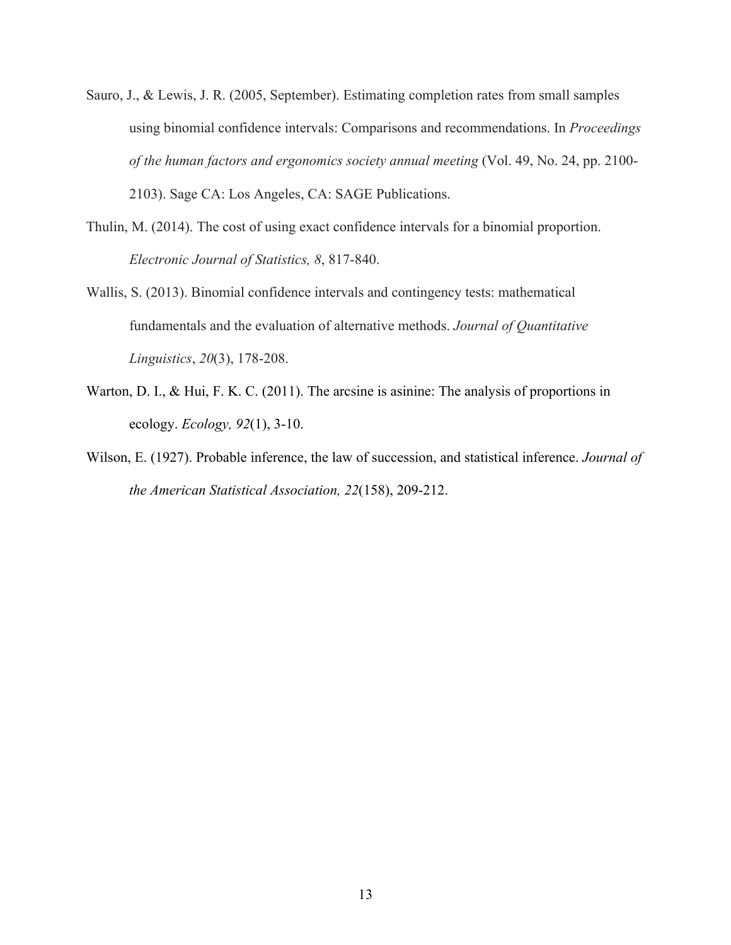- Sauro, J., & Lewis, J. R. (2005, September). Estimating completion rates from small samples using binomial confidence intervals: Comparisons and recommendations. In *Proceedings of the human factors and ergonomics society annual meeting* (Vol. 49, No. 24, pp. 2100- 2103). Sage CA: Los Angeles, CA: SAGE Publications.
- Thulin, M. (2014). The cost of using exact confidence intervals for a binomial proportion. *Electronic Journal of Statistics, 8*, 817-840.
- Wallis, S. (2013). Binomial confidence intervals and contingency tests: mathematical fundamentals and the evaluation of alternative methods. *Journal of Quantitative Linguistics*, *20*(3), 178-208.
- Warton, D. I., & Hui, F. K. C. (2011). The arcsine is asinine: The analysis of proportions in ecology. *Ecology, 92*(1), 3-10.
- Wilson, E. (1927). Probable inference, the law of succession, and statistical inference. *Journal of the American Statistical Association, 22*(158), 209-212.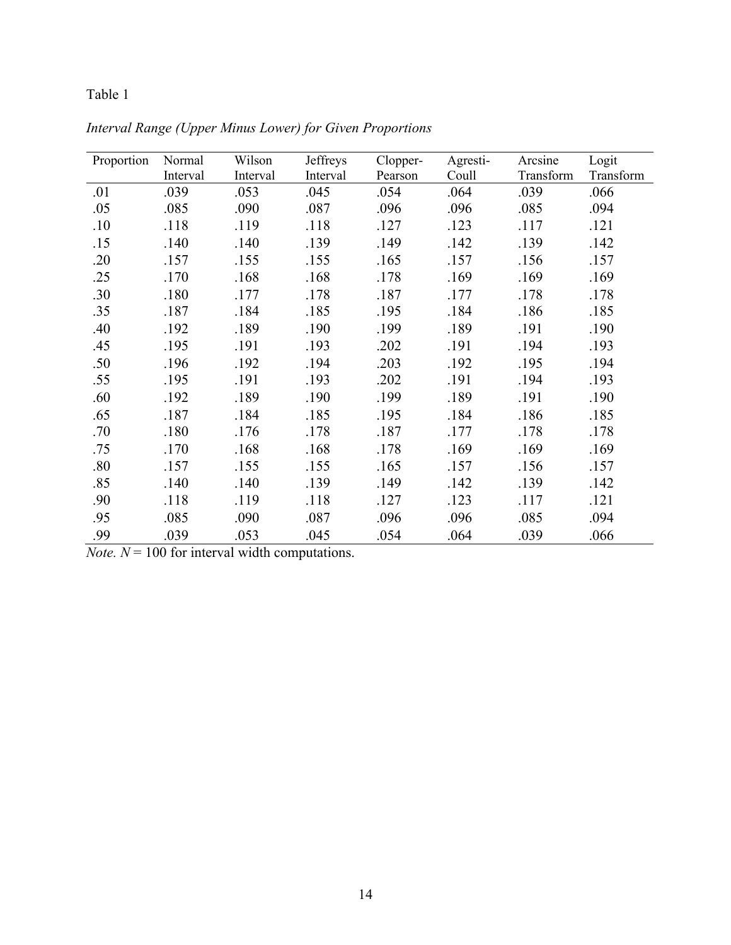# Table 1

| Proportion | Normal   | Wilson   | Jeffreys | Clopper- | Agresti- | Arcsine   | Logit     |
|------------|----------|----------|----------|----------|----------|-----------|-----------|
|            | Interval | Interval | Interval | Pearson  | Coull    | Transform | Transform |
| .01        | .039     | .053     | .045     | .054     | .064     | .039      | .066      |
| .05        | .085     | .090     | .087     | .096     | .096     | .085      | .094      |
| .10        | .118     | .119     | .118     | .127     | .123     | .117      | .121      |
| .15        | .140     | .140     | .139     | .149     | .142     | .139      | .142      |
| .20        | .157     | .155     | .155     | .165     | .157     | .156      | .157      |
| .25        | .170     | .168     | .168     | .178     | .169     | .169      | .169      |
| .30        | .180     | .177     | .178     | .187     | .177     | .178      | .178      |
| .35        | .187     | .184     | .185     | .195     | .184     | .186      | .185      |
| .40        | .192     | .189     | .190     | .199     | .189     | .191      | .190      |
| .45        | .195     | .191     | .193     | .202     | .191     | .194      | .193      |
| .50        | .196     | .192     | .194     | .203     | .192     | .195      | .194      |
| .55        | .195     | .191     | .193     | .202     | .191     | .194      | .193      |
| .60        | .192     | .189     | .190     | .199     | .189     | .191      | .190      |
| .65        | .187     | .184     | .185     | .195     | .184     | .186      | .185      |
| .70        | .180     | .176     | .178     | .187     | .177     | .178      | .178      |
| .75        | .170     | .168     | .168     | .178     | .169     | .169      | .169      |
| .80        | .157     | .155     | .155     | .165     | .157     | .156      | .157      |
| .85        | .140     | .140     | .139     | .149     | .142     | .139      | .142      |
| .90        | .118     | .119     | .118     | .127     | .123     | .117      | .121      |
| .95        | .085     | .090     | .087     | .096     | .096     | .085      | .094      |
| .99        | .039     | .053     | .045     | .054     | .064     | .039      | .066      |

*Interval Range (Upper Minus Lower) for Given Proportions*

*Note.*  $N = 100$  for interval width computations.